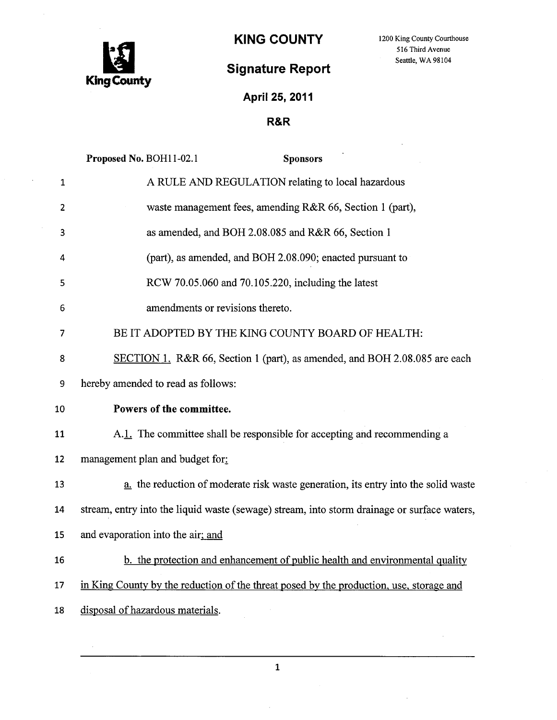

## Signature Report<br>
Signature Report

## April 25, 2011

## R&R

|              | Proposed No. BOH11-02.1<br><b>Sponsors</b>                                                  |
|--------------|---------------------------------------------------------------------------------------------|
| $\mathbf{1}$ | A RULE AND REGULATION relating to local hazardous                                           |
| 2            | waste management fees, amending R&R 66, Section 1 (part),                                   |
| 3            | as amended, and BOH 2.08.085 and R&R 66, Section 1                                          |
| 4            | (part), as amended, and BOH 2.08.090; enacted pursuant to                                   |
| 5            | RCW 70.05.060 and 70.105.220, including the latest                                          |
| 6            | amendments or revisions thereto.                                                            |
| 7            | BE IT ADOPTED BY THE KING COUNTY BOARD OF HEALTH:                                           |
| 8            | SECTION 1. R&R 66, Section 1 (part), as amended, and BOH 2.08.085 are each                  |
| 9            | hereby amended to read as follows:                                                          |
| 10           | Powers of the committee.                                                                    |
| 11           | A.1. The committee shall be responsible for accepting and recommending a                    |
| 12           | management plan and budget for:                                                             |
| 13           | a. the reduction of moderate risk waste generation, its entry into the solid waste          |
| 14           | stream, entry into the liquid waste (sewage) stream, into storm drainage or surface waters, |
| 15           | and evaporation into the air; and                                                           |
| 16           | b. the protection and enhancement of public health and environmental quality                |
| 17           | in King County by the reduction of the threat posed by the production, use, storage and     |
| 18           | disposal of hazardous materials.                                                            |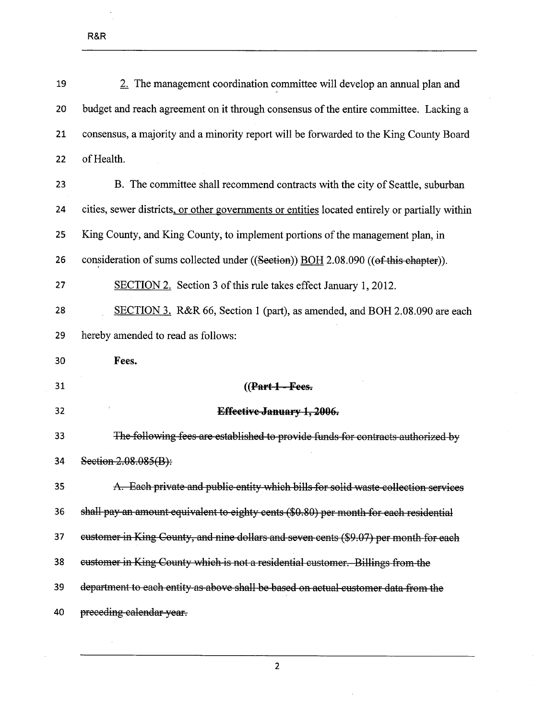$\hat{\boldsymbol{\beta}}$ 

| 19 | 2. The management coordination committee will develop an annual plan and                       |
|----|------------------------------------------------------------------------------------------------|
| 20 | budget and reach agreement on it through consensus of the entire committee. Lacking a          |
| 21 | consensus, a majority and a minority report will be forwarded to the King County Board         |
| 22 | of Health.                                                                                     |
| 23 | B. The committee shall recommend contracts with the city of Seattle, suburban                  |
| 24 | cities, sewer districts, or other governments or entities located entirely or partially within |
| 25 | King County, and King County, to implement portions of the management plan, in                 |
| 26 | consideration of sums collected under ((Section)) BOH 2.08.090 ((of this chapter)).            |
| 27 | SECTION 2. Section 3 of this rule takes effect January 1, 2012.                                |
| 28 | SECTION 3. R&R 66, Section 1 (part), as amended, and BOH 2.08.090 are each                     |
| 29 | hereby amended to read as follows:                                                             |
|    |                                                                                                |
| 30 | Fees.                                                                                          |
| 31 | $((Part 1 - Fees.$                                                                             |
| 32 | <b>Effective January 1, 2006.</b>                                                              |
| 33 | The following fees are established to provide funds for contracts authorized by                |
| 34 | Section 2.08.085(B):                                                                           |
| 35 | A. Each private and public entity which bills for solid waste collection services              |
| 36 | shall pay an amount equivalent to eighty cents (\$0.80) per month for each residential         |
| 37 | eustomer in King County, and nine dollars and seven cents (\$9.07) per month for each          |
| 38 | eustomer in King County which is not a residential customer. Billings from the                 |
| 39 | department to each entity as above shall be based on actual customer data from the             |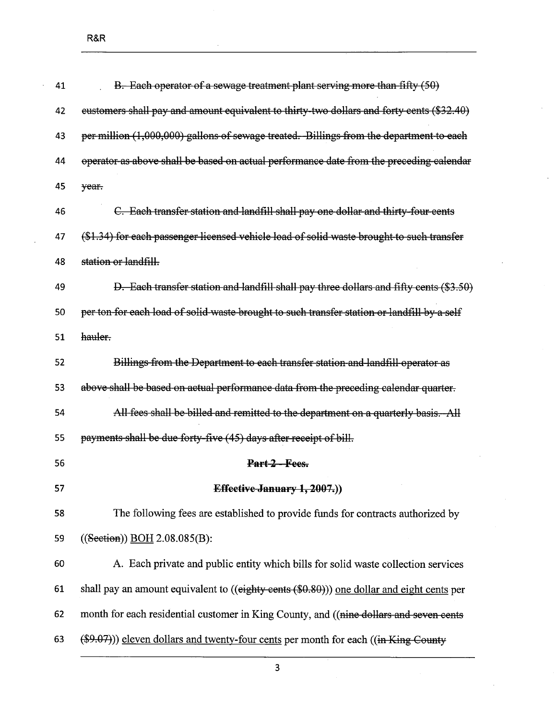| 41 | B. Each operator of a sewage treatment plant serving more than fifty (50)                   |
|----|---------------------------------------------------------------------------------------------|
| 42 | eustomers shall pay and amount equivalent to thirty-two dollars and forty cents (\$32.40)   |
| 43 | per million (1,000,000) gallons of sewage treated. Billings from the department to each     |
| 44 | operator as above shall be based on actual performance date from the preceding calendar     |
| 45 | year.                                                                                       |
| 46 | C. Each transfer station and landfill shall pay one dollar and thirty-four cents            |
| 47 | (\$1.34) for each passenger licensed vehicle load of solid waste brought to such transfer   |
| 48 | station or landfill.                                                                        |
| 49 | D. Each transfer station and landfill shall pay three dollars and fifty cents (\$3.50)      |
| 50 | per ton for each load of solid waste brought to such transfer station or landfill by a self |
| 51 | hauler.                                                                                     |
| 52 | Billings from the Department to each transfer station and landfill operator as              |
| 53 | above shall be based on actual performance data from the preceding calendar quarter.        |
| 54 | All fees shall be billed and remitted to the department on a quarterly basis. All           |
| 55 | payments shall be due forty-five (45) days after receipt of bill.                           |
| 56 | Part 2-Fees.                                                                                |
| 57 | Effective January 1, 2007.))                                                                |
| 58 | The following fees are established to provide funds for contracts authorized by             |
| 59 | $((Section))$ BOH 2.08.085(B):                                                              |
| 60 | A. Each private and public entity which bills for solid waste collection services           |
| 61 | shall pay an amount equivalent to ((eighty cents (\$0.80))) one dollar and eight cents per  |
| 62 | month for each residential customer in King County, and ((nine dollars and seven cents      |
| 63 | $(\$9.07))$ ) eleven dollars and twenty-four cents per month for each ((in King-County      |

 $\overline{\phantom{a}}$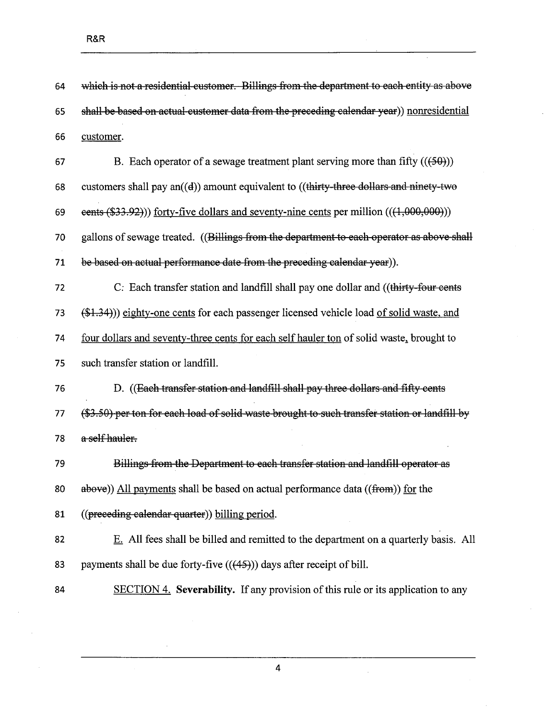| 64 | which is not a residential customer. Billings from the department to each entity as above     |
|----|-----------------------------------------------------------------------------------------------|
| 65 | shall be based on actual customer data from the preceding calendar year)) nonresidential      |
| 66 | customer.                                                                                     |
| 67 | B. Each operator of a sewage treatment plant serving more than fifty $((50))$                 |
| 68 | customers shall pay an((d)) amount equivalent to ((thirty-three dollars and ninety-two        |
| 69 | eents $(\$33.92)$ ) forty-five dollars and seventy-nine cents per million $(((1,000,000)))$   |
| 70 | gallons of sewage treated. ((Billings from the department to each operator as above shall     |
| 71 | be based on actual performance date from the preceding calendar year)).                       |
| 72 | C: Each transfer station and landfill shall pay one dollar and ((thirty-four cents            |
| 73 | (\$1.34))) eighty-one cents for each passenger licensed vehicle load of solid waste, and      |
| 74 | four dollars and seventy-three cents for each self hauler ton of solid waste, brought to      |
| 75 | such transfer station or landfill.                                                            |
| 76 | D. ((Each transfer station and landfill shall pay three dollars and fifty cents               |
| 77 | (\$3.50) per ton for each load of solid waste brought to such transfer station or landfill by |
| 78 | a self hauler.                                                                                |
| 79 | Billings from the Department to each transfer station and landfill operator as                |
| 80 | above)) All payments shall be based on actual performance data ((from)) for the               |
| 81 | ((preceding calendar quarter)) billing period.                                                |
| 82 | E. All fees shall be billed and remitted to the department on a quarterly basis. All          |
| 83 | payments shall be due forty-five $((45))$ days after receipt of bill.                         |
| 84 | SECTION 4. Severability. If any provision of this rule or its application to any              |